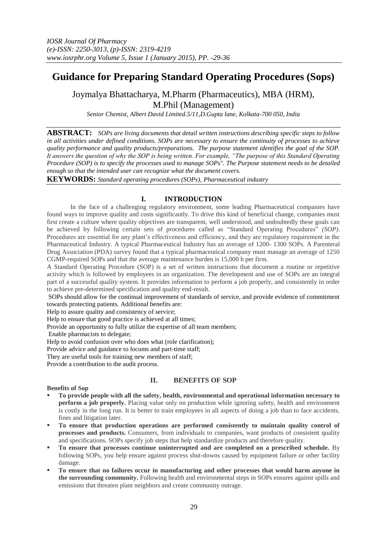# **Guidance for Preparing Standard Operating Procedures (Sops)**

Joymalya Bhattacharya, M.Pharm (Pharmaceutics), MBA (HRM), M.Phil (Management)

*Senior Chemist, Albert David Limited.5/11,D.Gupta lane, Kolkata-700 050, India*

**ABSTRACT:** *SOPs are living documents that detail written instructions describing specific steps to follow in all activities under defined conditions. SOPs are necessary to ensure the continuity of processes to achieve quality performance and quality products/preparations. The purpose statement identifies the goal of the SOP. It answers the question of why the SOP is being written. For example, "The purpose of this Standard Operating Procedure (SOP) is to specify the processes used to manage SOPs". The Purpose statement needs to be detailed enough so that the intended user can recognize what the document covers.*

**KEYWORDS:** *Standard operating procedures (SOPs), Pharmaceutical industry*

# **I. INTRODUCTION**

In the face of a challenging regulatory environment, some leading Pharmaceutical companies have found ways to improve quality and costs significantly. To drive this kind of beneficial change, companies must first create a culture where quality objectives are transparent, well understood, and undoubtedly these goals can be achieved by following certain sets of procedures called as "Standard Operating Procedures" *(SOP)*. Procedures are essential for any plant's effectiveness and efficiency, and they are regulatory requirement in the Pharmaceutical Industry. A typical Pharmaceutical Industry has an average of 1200- 1300 SOPs. A Parenteral Drug Association (PDA) survey found that a typical pharmaceutical company must manage an average of 1250 CGMP-required SOPs and that the average maintenance burden is 15,000 h per firm.

A Standard Operating Procedure (SOP) is a set of written instructions that document a routine or repetitive activity which is followed by employees in an organization. The development and use of SOPs are an integral part of a successful quality system. It provides information to perform a job properly, and consistently in order to achieve pre-determined specification and quality end-result.

SOPs should allow for the continual improvement of standards of service, and provide evidence of commitment towards protecting patients. Additional benefits are:

Help to assure quality and consistency of service;

Help to ensure that good practice is achieved at all times;

Provide an opportunity to fully utilize the expertise of all team members;

Enable pharmacists to delegate;

Help to avoid confusion over who does what (role clarification);

Provide advice and guidance to locums and part-time staff;

They are useful tools for training new members of staff;

Provide a contribution to the audit process.

# **II. BENEFITS OF SOP**

### **Benefits of Sop**

- **To provide people with all the safety, health, environmental and operational information necessary to perform a job properly.** Placing value only on production while ignoring safety, health and environment is costly in the long run. It is better to train employees in all aspects of doing a job than to face accidents, fines and litigation later.
- **To ensure that production operations are performed consistently to maintain quality control of processes and products.** Consumers, from individuals to companies, want products of consistent quality and specifications. SOPs specify job steps that help standardize products and therefore quality.
- **To ensure that processes continue uninterrupted and are completed on a prescribed schedule.** By following SOPs, you help ensure against process shut-downs caused by equipment failure or other facility damage.
- **To ensure that no failures occur in manufacturing and other processes that would harm anyone in the surrounding community.** Following health and environmental steps in SOPs ensures against spills and emissions that threaten plant neighbors and create community outrage.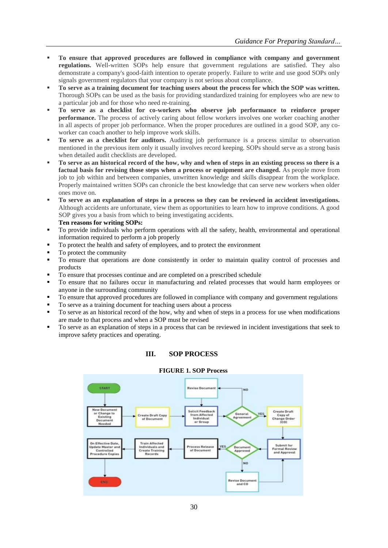- **To ensure that approved procedures are followed in compliance with company and government regulations.** Well-written SOPs help ensure that government regulations are satisfied. They also demonstrate a company's good-faith intention to operate properly. Failure to write and use good SOPs only signals government regulators that your company is not serious about compliance.
- **To serve as a training document for teaching users about the process for which the SOP was written.** Thorough SOPs can be used as the basis for providing standardized training for employees who are new to a particular job and for those who need re-training.
- **To serve as a checklist for co-workers who observe job performance to reinforce proper performance.** The process of actively caring about fellow workers involves one worker coaching another in all aspects of proper job performance. When the proper procedures are outlined in a good SOP, any coworker can coach another to help improve work skills.
- **To serve as a checklist for auditors.** Auditing job performance is a process similar to observation mentioned in the previous item only it usually involves record keeping. SOPs should serve as a strong basis when detailed audit checklists are developed.
- **To serve as an historical record of the how, why and when of steps in an existing process so there is a factual basis for revising those steps when a process or equipment are changed.** As people move from job to job within and between companies, unwritten knowledge and skills disappear from the workplace. Properly maintained written SOPs can chronicle the best knowledge that can serve new workers when older ones move on.
- **To serve as an explanation of steps in a process so they can be reviewed in accident investigations.** Although accidents are unfortunate, view them as opportunities to learn how to improve conditions. A good SOP gives you a basis from which to being investigating accidents. **Ten reasons for writing SOPs:**
- To provide individuals who perform operations with all the safety, health, environmental and operational information required to perform a job properly
- To protect the health and safety of employees, and to protect the environment
- To protect the community
- To ensure that operations are done consistently in order to maintain quality control of processes and products
- To ensure that processes continue and are completed on a prescribed schedule
- To ensure that no failures occur in manufacturing and related processes that would harm employees or anyone in the surrounding community
- To ensure that approved procedures are followed in compliance with company and government regulations
- To serve as a training document for teaching users about a process
- To serve as an historical record of the how, why and when of steps in a process for use when modifications are made to that process and when a SOP must be revised
- To serve as an explanation of steps in a process that can be reviewed in incident investigations that seek to improve safety practices and operating.



# **III. SOP PROCESS**

### **FIGURE 1. SOP Process**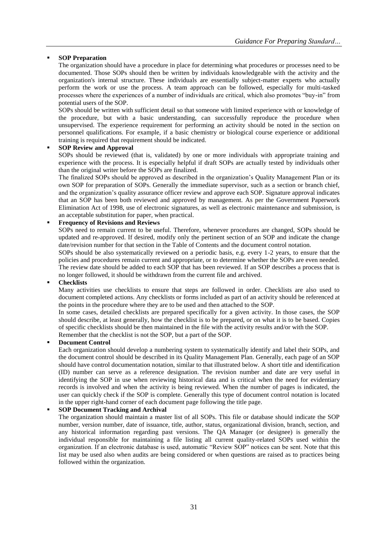# **SOP Preparation**

The organization should have a procedure in place for determining what procedures or processes need to be documented. Those SOPs should then be written by individuals knowledgeable with the activity and the organization's internal structure. These individuals are essentially subject-matter experts who actually perform the work or use the process. A team approach can be followed, especially for multi-tasked processes where the experiences of a number of individuals are critical, which also promotes "buy-in" from potential users of the SOP.

SOPs should be written with sufficient detail so that someone with limited experience with or knowledge of the procedure, but with a basic understanding, can successfully reproduce the procedure when unsupervised. The experience requirement for performing an activity should be noted in the section on personnel qualifications. For example, if a basic chemistry or biological course experience or additional training is required that requirement should be indicated.

### **SOP Review and Approval**

SOPs should be reviewed (that is, validated) by one or more individuals with appropriate training and experience with the process. It is especially helpful if draft SOPs are actually tested by individuals other than the original writer before the SOPs are finalized.

The finalized SOPs should be approved as described in the organization"s Quality Management Plan or its own SOP for preparation of SOPs. Generally the immediate supervisor, such as a section or branch chief, and the organization"s quality assurance officer review and approve each SOP. Signature approval indicates that an SOP has been both reviewed and approved by management. As per the Government Paperwork Elimination Act of 1998, use of electronic signatures, as well as electronic maintenance and submission, is an acceptable substitution for paper, when practical.

### **Frequency of Revisions and Reviews**

SOPs need to remain current to be useful. Therefore, whenever procedures are changed, SOPs should be updated and re-approved. If desired, modify only the pertinent section of an SOP and indicate the change date/revision number for that section in the Table of Contents and the document control notation.

SOPs should be also systematically reviewed on a periodic basis, e.g. every 1-2 years, to ensure that the policies and procedures remain current and appropriate, or to determine whether the SOPs are even needed. The review date should be added to each SOP that has been reviewed. If an SOP describes a process that is no longer followed, it should be withdrawn from the current file and archived.

# **Checklists**

Many activities use checklists to ensure that steps are followed in order. Checklists are also used to document completed actions. Any checklists or forms included as part of an activity should be referenced at the points in the procedure where they are to be used and then attached to the SOP.

In some cases, detailed checklists are prepared specifically for a given activity. In those cases, the SOP should describe, at least generally, how the checklist is to be prepared, or on what it is to be based. Copies of specific checklists should be then maintained in the file with the activity results and/or with the SOP. Remember that the checklist is not the SOP, but a part of the SOP.

### **Document Control**

Each organization should develop a numbering system to systematically identify and label their SOPs, and the document control should be described in its Quality Management Plan. Generally, each page of an SOP should have control documentation notation, similar to that illustrated below. A short title and identification (ID) number can serve as a reference designation. The revision number and date are very useful in identifying the SOP in use when reviewing historical data and is critical when the need for evidentiary records is involved and when the activity is being reviewed. When the number of pages is indicated, the user can quickly check if the SOP is complete. Generally this type of document control notation is located in the upper right-hand corner of each document page following the title page.

### **SOP Document Tracking and Archival**

The organization should maintain a master list of all SOPs. This file or database should indicate the SOP number, version number, date of issuance, title, author, status, organizational division, branch, section, and any historical information regarding past versions. The QA Manager (or designee) is generally the individual responsible for maintaining a file listing all current quality-related SOPs used within the organization. If an electronic database is used, automatic "Review SOP" notices can be sent. Note that this list may be used also when audits are being considered or when questions are raised as to practices being followed within the organization.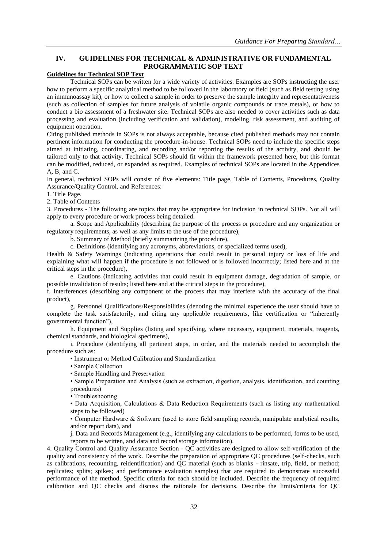# **IV. GUIDELINES FOR TECHNICAL & ADMINISTRATIVE OR FUNDAMENTAL PROGRAMMATIC SOP TEXT**

# **Guidelines for Technical SOP Text**

Technical SOPs can be written for a wide variety of activities. Examples are SOPs instructing the user how to perform a specific analytical method to be followed in the laboratory or field (such as field testing using an immunoassay kit), or how to collect a sample in order to preserve the sample integrity and representativeness (such as collection of samples for future analysis of volatile organic compounds or trace metals), or how to conduct a bio assessment of a freshwater site. Technical SOPs are also needed to cover activities such as data processing and evaluation (including verification and validation), modeling, risk assessment, and auditing of equipment operation.

Citing published methods in SOPs is not always acceptable, because cited published methods may not contain pertinent information for conducting the procedure-in-house. Technical SOPs need to include the specific steps aimed at initiating, coordinating, and recording and/or reporting the results of the activity, and should be tailored only to that activity. Technical SOPs should fit within the framework presented here, but this format can be modified, reduced, or expanded as required. Examples of technical SOPs are located in the Appendices A, B, and C.

In general, technical SOPs will consist of five elements: Title page, Table of Contents, Procedures, Quality Assurance/Quality Control, and References:

1. Title Page.

2. Table of Contents

3. Procedures - The following are topics that may be appropriate for inclusion in technical SOPs. Not all will apply to every procedure or work process being detailed.

a. Scope and Applicability (describing the purpose of the process or procedure and any organization or regulatory requirements, as well as any limits to the use of the procedure),

b. Summary of Method (briefly summarizing the procedure),

c. Definitions (identifying any acronyms, abbreviations, or specialized terms used),

Health & Safety Warnings (indicating operations that could result in personal injury or loss of life and explaining what will happen if the procedure is not followed or is followed incorrectly; listed here and at the critical steps in the procedure),

e. Cautions (indicating activities that could result in equipment damage, degradation of sample, or possible invalidation of results; listed here and at the critical steps in the procedure),

f. Interferences (describing any component of the process that may interfere with the accuracy of the final product),

g. Personnel Qualifications/Responsibilities (denoting the minimal experience the user should have to complete the task satisfactorily, and citing any applicable requirements, like certification or "inherently governmental function"),

h. Equipment and Supplies (listing and specifying, where necessary, equipment, materials, reagents, chemical standards, and biological specimens),

i. Procedure (identifying all pertinent steps, in order, and the materials needed to accomplish the procedure such as:

• Instrument or Method Calibration and Standardization

• Sample Collection

• Sample Handling and Preservation

• Sample Preparation and Analysis (such as extraction, digestion, analysis, identification, and counting procedures)

• Troubleshooting

• Data Acquisition, Calculations & Data Reduction Requirements (such as listing any mathematical steps to be followed)

• Computer Hardware & Software (used to store field sampling records, manipulate analytical results, and/or report data), and

j. Data and Records Management (e.g., identifying any calculations to be performed, forms to be used, reports to be written, and data and record storage information).

4. Quality Control and Quality Assurance Section - QC activities are designed to allow self-verification of the quality and consistency of the work. Describe the preparation of appropriate QC procedures (self-checks, such as calibrations, recounting, reidentification) and QC material (such as blanks - rinsate, trip, field, or method; replicates; splits; spikes; and performance evaluation samples) that are required to demonstrate successful performance of the method. Specific criteria for each should be included. Describe the frequency of required calibration and QC checks and discuss the rationale for decisions. Describe the limits/criteria for QC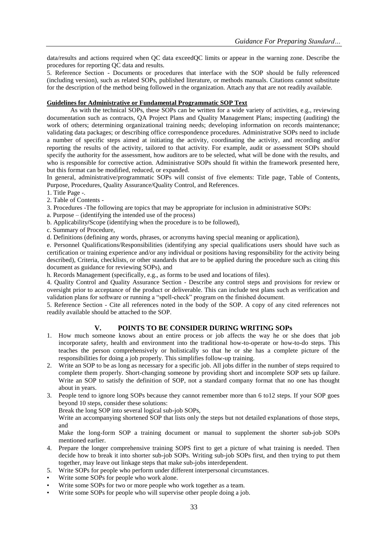data/results and actions required when QC data exceedQC limits or appear in the warning zone. Describe the procedures for reporting QC data and results.

5. Reference Section - Documents or procedures that interface with the SOP should be fully referenced (including version), such as related SOPs, published literature, or methods manuals. Citations cannot substitute for the description of the method being followed in the organization. Attach any that are not readily available.

# **Guidelines for Administrative or Fundamental Programmatic SOP Text**

As with the technical SOPs, these SOPs can be written for a wide variety of activities, e.g., reviewing documentation such as contracts, QA Project Plans and Quality Management Plans; inspecting (auditing) the work of others; determining organizational training needs; developing information on records maintenance; validating data packages; or describing office correspondence procedures. Administrative SOPs need to include a number of specific steps aimed at initiating the activity, coordinating the activity, and recording and/or reporting the results of the activity, tailored to that activity. For example, audit or assessment SOPs should specify the authority for the assessment, how auditors are to be selected, what will be done with the results, and who is responsible for corrective action. Administrative SOPs should fit within the framework presented here, but this format can be modified, reduced, or expanded.

In general, administrative/programmatic SOPs will consist of five elements: Title page, Table of Contents, Purpose, Procedures, Quality Assurance/Quality Control, and References.

- 1. Title Page -.
- 2. Table of Contents -

3. Procedures -The following are topics that may be appropriate for inclusion in administrative SOPs:

a. Purpose – (identifying the intended use of the process)

b. Applicability**/**Scope (identifying when the procedure is to be followed),

c. Summary of Procedure,

d. Definitions (defining any words, phrases, or acronyms having special meaning or application),

e. Personnel Qualifications/Responsibilities (identifying any special qualifications users should have such as certification or training experience and/or any individual or positions having responsibility for the activity being described), Criteria, checklists, or other standards that are to be applied during the procedure such as citing this document as guidance for reviewing SOPs), and

h. Records Management (specifically, e.g., as forms to be used and locations of files).

4. Quality Control and Quality Assurance Section - Describe any control steps and provisions for review or oversight prior to acceptance of the product or deliverable. This can include test plans such as verification and validation plans for software or running a "spell-check" program on the finished document.

5. Reference Section - Cite all references noted in the body of the SOP. A copy of any cited references not readily available should be attached to the SOP.

### **V. POINTS TO BE CONSIDER DURING WRITING SOPs**

- 1. How much someone knows about an entire process or job affects the way he or she does that job incorporate safety, health and environment into the traditional how-to-operate or how-to-do steps. This teaches the person comprehensively or holistically so that he or she has a complete picture of the responsibilities for doing a job properly. This simplifies follow-up training.
- 2. Write an SOP to be as long as necessary for a specific job. All jobs differ in the number of steps required to complete them properly. Short-changing someone by providing short and incomplete SOP sets up failure. Write an SOP to satisfy the definition of SOP, not a standard company format that no one has thought about in years.
- 3. People tend to ignore long SOPs because they cannot remember more than 6 to12 steps. If your SOP goes beyond 10 steps, consider these solutions:

Break the long SOP into several logical sub-job SOPs,

Write an accompanying shortened SOP that lists only the steps but not detailed explanations of those steps, and

Make the long-form SOP a training document or manual to supplement the shorter sub-job SOPs mentioned earlier.

- 4. Prepare the longer comprehensive training SOPS first to get a picture of what training is needed. Then decide how to break it into shorter sub-job SOPs. Writing sub-job SOPs first, and then trying to put them together, may leave out linkage steps that make sub-jobs interdependent.
- 5. Write SOPs for people who perform under different interpersonal circumstances.
- Write some SOPs for people who work alone.
- Write some SOPs for two or more people who work together as a team.
- Write some SOPs for people who will supervise other people doing a job.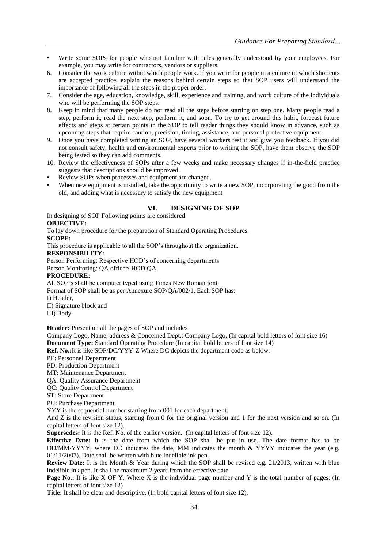- Write some SOPs for people who not familiar with rules generally understood by your employees. For example, you may write for contractors, vendors or suppliers.
- 6. Consider the work culture within which people work. If you write for people in a culture in which shortcuts are accepted practice, explain the reasons behind certain steps so that SOP users will understand the importance of following all the steps in the proper order.
- 7. Consider the age, education, knowledge, skill, experience and training, and work culture of the individuals who will be performing the SOP steps.
- 8. Keep in mind that many people do not read all the steps before starting on step one. Many people read a step, perform it, read the next step, perform it, and soon. To try to get around this habit, forecast future effects and steps at certain points in the SOP to tell reader things they should know in advance, such as upcoming steps that require caution, precision, timing, assistance, and personal protective equipment.
- 9. Once you have completed writing an SOP, have several workers test it and give you feedback. If you did not consult safety, health and environmental experts prior to writing the SOP, have them observe the SOP being tested so they can add comments.
- 10. Review the effectiveness of SOPs after a few weeks and make necessary changes if in-the-field practice suggests that descriptions should be improved.
- Review SOPs when processes and equipment are changed.
- When new equipment is installed, take the opportunity to write a new SOP, incorporating the good from the old, and adding what is necessary to satisfy the new equipment

### **VI. DESIGNING OF SOP**

In designing of SOP Following points are considered **OBJECTIVE:**

To lay down procedure for the preparation of Standard Operating Procedures.

#### **SCOPE:**

This procedure is applicable to all the SOP"s throughout the organization.

#### **RESPONSIBILITY:**

Person Performing: Respective HOD"s of concerning departments

Person Monitoring: QA officer/ HOD QA

### **PROCEDURE:**

All SOP"s shall be computer typed using Times New Roman font.

Format of SOP shall be as per Annexure SOP/QA/002/1. Each SOP has:

I) Header,

II) Signature block and

III) Body.

**Header:** Present on all the pages of SOP and includes

Company Logo, Name, address & Concerned Dept.: Company Logo, (In capital bold letters of font size 16) **Document Type:** Standard Operating Procedure (In capital bold letters of font size 14)

**Ref. No.:**It is like SOP/DC/YYY-Z Where DC depicts the department code as below:

PE: Personnel Department

PD: Production Department

MT: Maintenance Department

QA: Quality Assurance Department

QC: Quality Control Department

ST: Store Department

PU: Purchase Department

YYY is the sequential number starting from 001 for each department.

And Z is the revision status, starting from 0 for the original version and 1 for the next version and so on. (In capital letters of font size 12).

**Supersedes:** It is the Ref. No. of the earlier version. (In capital letters of font size 12).

**Effective Date:** It is the date from which the SOP shall be put in use. The date format has to be  $DD/MM/YYY$ , where DD indicates the date, MM indicates the month & YYYY indicates the year (e.g. 01/11/2007). Date shall be written with blue indelible ink pen.

**Review Date:** It is the Month & Year during which the SOP shall be revised e.g. 21/2013, written with blue indelible ink pen. It shall be maximum 2 years from the effective date.

**Page No.:** It is like X OF Y. Where X is the individual page number and Y is the total number of pages. (In capital letters of font size 12)

**Title:** It shall be clear and descriptive. (In bold capital letters of font size 12).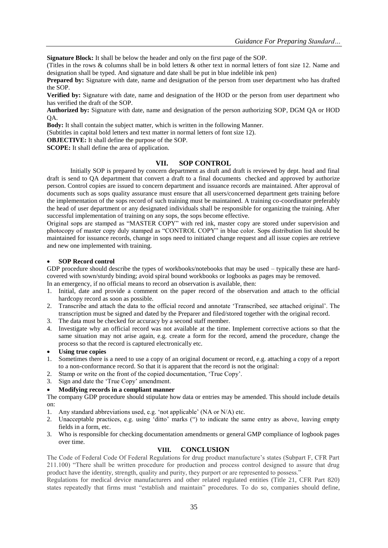**Signature Block:** It shall be below the header and only on the first page of the SOP.

(Titles in the rows & columns shall be in bold letters & other text in normal letters of font size 12. Name and designation shall be typed. And signature and date shall be put in blue indelible ink pen)

**Prepared by:** Signature with date, name and designation of the person from user department who has drafted the SOP.

**Verified by:** Signature with date, name and designation of the HOD or the person from user department who has verified the draft of the SOP.

**Authorized by:** Signature with date, name and designation of the person authorizing SOP, DGM QA or HOD QA.

**Body:** It shall contain the subject matter, which is written in the following Manner.

(Subtitles in capital bold letters and text matter in normal letters of font size 12).

**OBJECTIVE:** It shall define the purpose of the SOP.

**SCOPE:** It shall define the area of application.

# **VII. SOP CONTROL**

Initially SOP is prepared by concern department as draft and draft is reviewed by dept. head and final draft is send to QA department that convert a draft to a final documents checked and approved by authorize person. Control copies are issued to concern department and issuance records are maintained. After approval of documents such as sops quality assurance must ensure that all users/concerned department gets training before the implementation of the sops record of such training must be maintained. A training co-coordinator preferably the head of user department or any designated individuals shall be responsible for organizing the training. After successful implementation of training on any sops, the sops become effective.

Original sops are stamped as "MASTER COPY" with red ink, master copy are stored under supervision and photocopy of master copy duly stamped as "CONTROL COPY" in blue color. Sops distribution list should be maintained for issuance records, change in sops need to initiated change request and all issue copies are retrieve and new one implemented with training.

### **SOP Record control**

GDP procedure should describe the types of workbooks/notebooks that may be used – typically these are hardcovered with sown/sturdy binding; avoid spiral bound workbooks or logbooks as pages may be removed.

In an emergency, if no official means to record an observation is available, then:

- 1. Initial, date and provide a comment on the paper record of the observation and attach to the official hardcopy record as soon as possible.
- 2. Transcribe and attach the data to the official record and annotate "Transcribed, see attached original". The transcription must be signed and dated by the Preparer and filed/stored together with the original record.
- 3. The data must be checked for accuracy by a second staff member.
- 4. Investigate why an official record was not available at the time. Implement corrective actions so that the same situation may not arise again, e.g. create a form for the record, amend the procedure, change the process so that the record is captured electronically etc.
- **Using true copies**
- 1. Sometimes there is a need to use a copy of an original document or record, e.g. attaching a copy of a report to a non-conformance record. So that it is apparent that the record is not the original:
- 2. Stamp or write on the front of the copied documentation, "True Copy".
- 3. Sign and date the "True Copy" amendment.

### **Modifying records in a compliant manner**

The company GDP procedure should stipulate how data or entries may be amended. This should include details on:

- 1. Any standard abbreviations used, e.g. "not applicable" (NA or N/A) etc.
- 2. Unacceptable practices, e.g. using "ditto" marks (") to indicate the same entry as above, leaving empty fields in a form, etc.
- 3. Who is responsible for checking documentation amendments or general GMP compliance of logbook pages over time.

#### **VIII. CONCLUSION**

The Code of Federal Code Of Federal Regulations for drug product manufacture's states (Subpart F, CFR Part 211.100) "There shall be written procedure for production and process control designed to assure that drug product have the identity, strength, quality and purity, they purport or are represented to possess."

Regulations for medical device manufacturers and other related regulated entities (Title 21, CFR Part 820) states repeatedly that firms must "establish and maintain" procedures. To do so, companies should define,